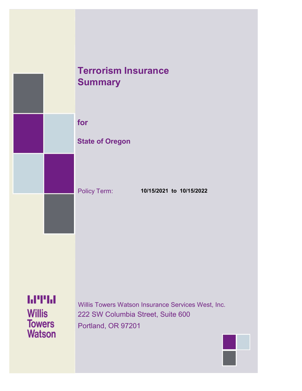## **Terrorism Insurance Summary**

**for**

## **State of Oregon**

Policy Term: **10/15/2021 to 10/15/2022**

**MTH Willis Towers Watson** 

Willis Towers Watson Insurance Services West, Inc. 222 SW Columbia Street, Suite 600 Portland, OR 97201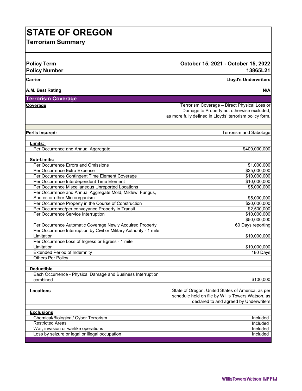# **STATE OF OREGON**

**Terrorism Summary**

#### **Policy Term October 15, 2021 - October 15, 2022 Policy Number 13865L21**

**Carrier Lloyd's Underwriters**

#### **A.M. Best Rating N/A**

#### **Terrorism Coverage**

| Terrorism Coverage                                                  |                                                         |
|---------------------------------------------------------------------|---------------------------------------------------------|
| Coverage                                                            | Terrorism Coverage - Direct Physical Loss or            |
|                                                                     | Damage to Property not otherwise excluded,              |
|                                                                     | as more fully defined in Lloyds' terrorism policy form. |
|                                                                     |                                                         |
|                                                                     |                                                         |
| Perils Insured:                                                     | Terrorism and Sabotage                                  |
|                                                                     |                                                         |
| Limits:                                                             |                                                         |
| Per Occurrence and Annual Aggregate                                 | \$400,000,000                                           |
|                                                                     |                                                         |
| Sub-Limits:                                                         |                                                         |
| Per Occurrence Errors and Omissions                                 | \$1,000,000                                             |
| Per Occurrence Extra Expense                                        | \$25,000,000                                            |
| Per Occurrence Contingent Time Element Coverage                     | \$10,000,000                                            |
| Per Occurrence Interdependent Time Element                          | \$10,000,000                                            |
| Per Occurrence Miscellaneous Unreported Locations                   | \$5,000,000                                             |
| Per Occurrence and Annual Aggregate Mold, Mildew, Fungus,           |                                                         |
| Spores or other Microorganism                                       | \$5,000,000                                             |
| Per Occurrence Property in the Course of Construction               | \$20,000,000                                            |
| Per Occurrence/per conveyance Property in Transit                   | \$2,500,000                                             |
| Per Occurrence Service Interruption                                 | \$10,000,000                                            |
|                                                                     | \$50,000,000                                            |
| Per Occurrence Automatic Coverage Newly Acquired Property           | 60 Days reporting                                       |
| Per Occurrence Interruption by Civil or Military Authority - 1 mile |                                                         |
| Limitation                                                          | \$10,000,000                                            |
| Per Occurrence Loss of Ingress or Egress - 1 mile                   |                                                         |
| Limitation                                                          | \$10,000,000                                            |
| <b>Extended Period of Indemnity</b>                                 | 180 Days                                                |
| <b>Others Per Policy</b>                                            |                                                         |
|                                                                     |                                                         |
| <b>Deductible</b>                                                   |                                                         |
| Each Occurrence - Physical Damage and Business Interruption         |                                                         |
| combined                                                            | \$100,000                                               |
|                                                                     |                                                         |
| Locations                                                           | State of Oregon, United States of America, as per       |
|                                                                     | schedule held on file by Willis Towers Watson, as       |
|                                                                     | declared to and agreed by Underwriters                  |
|                                                                     |                                                         |
| <b>Exclusions</b>                                                   |                                                         |
| Chemical/Biological/ Cyber Terrorism                                | Included                                                |